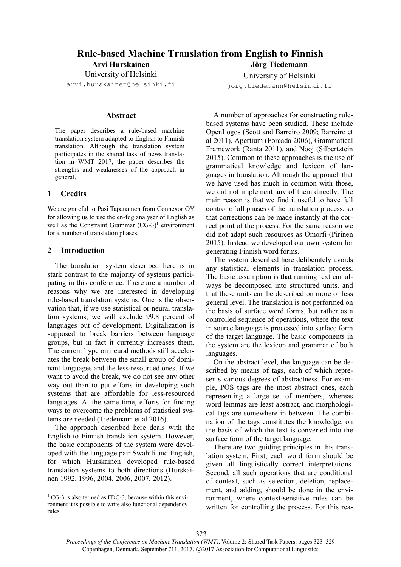#### Rule-based Machine Translation from English to Finnish Arvi Hurskainen Jörg Tiedemann

University of Helsinki arvi.hurskainen@helsinki.fi

# Abstract

The paper describes a rule-based machine translation system adapted to English to Finnish translation. Although the translation system participates in the shared task of news translation in WMT 2017, the paper describes the strengths and weaknesses of the approach in general.

# 1 Credits

We are grateful to Pasi Tapanainen from Connexor OY for allowing us to use the en-fdg analyser of English as well as the Constraint Grammar  $(CG-3)^1$  environment for a number of translation phases.

# 2 Introduction

The translation system described here is in stark contrast to the majority of systems participating in this conference. There are a number of reasons why we are interested in developing rule-based translation systems. One is the observation that, if we use statistical or neural translation systems, we will exclude 99.8 percent of languages out of development. Digitalization is supposed to break barriers between language groups, but in fact it currently increases them. The current hype on neural methods still accelerates the break between the small group of dominant languages and the less-resourced ones. If we want to avoid the break, we do not see any other way out than to put efforts in developing such systems that are affordable for less-resourced languages. At the same time, efforts for finding ways to overcome the problems of statistical systems are needed (Tiedemann et al 2016).

The approach described here deals with the English to Finnish translation system. However, the basic components of the system were developed with the language pair Swahili and English, for which Hurskainen developed rule-based translation systems to both directions (Hurskainen 1992, 1996, 2004, 2006, 2007, 2012).

University of Helsinki jörg.tiedemann@helsinki.fi

A number of approaches for constructing rulebased systems have been studied. These include OpenLogos (Scott and Barreiro 2009; Barreiro et al 2011), Apertium (Forcada 2006), Grammatical Framework (Ranta 2011), and Nooj (Silbertztein 2015). Common to these approaches is the use of grammatical knowledge and lexicon of languages in translation. Although the approach that we have used has much in common with those, we did not implement any of them directly. The main reason is that we find it useful to have full control of all phases of the translation process, so that corrections can be made instantly at the correct point of the process. For the same reason we did not adapt such resources as Omorfi (Pirinen 2015). Instead we developed our own system for generating Finnish word forms.

The system described here deliberately avoids any statistical elements in translation process. The basic assumption is that running text can always be decomposed into structured units, and that these units can be described on more or less general level. The translation is not performed on the basis of surface word forms, but rather as a controlled sequence of operations, where the text in source language is processed into surface form of the target language. The basic components in the system are the lexicon and grammar of both languages.

On the abstract level, the language can be described by means of tags, each of which represents various degrees of abstractness. For example, POS tags are the most abstract ones, each representing a large set of members, whereas word lemmas are least abstract, and morphological tags are somewhere in between. The combination of the tags constitutes the knowledge, on the basis of which the text is converted into the surface form of the target language.

There are two guiding principles in this translation system. First, each word form should be given all linguistically correct interpretations. Second, all such operations that are conditional of context, such as selection, deletion, replacement, and adding, should be done in the environment, where context-sensitive rules can be written for controlling the process. For this rea-

323

 1 CG-3 is also termed as FDG-3, because within this environment it is possible to write also functional dependency rules.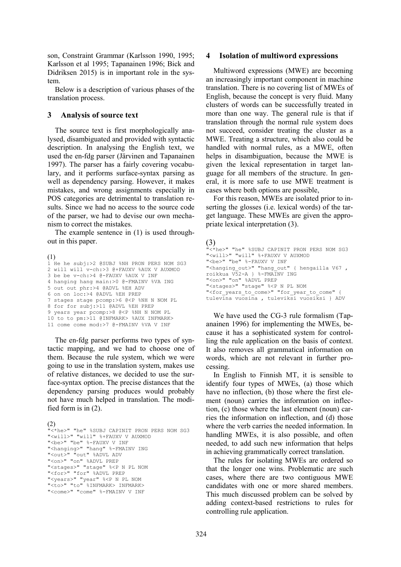son, Constraint Grammar (Karlsson 1990, 1995; Karlsson et al 1995; Tapanainen 1996; Bick and Didriksen 2015) is in important role in the system.

Below is a description of various phases of the translation process.

### 3 Analysis of source text

The source text is first morphologically analysed, disambiguated and provided with syntactic description. In analysing the English text, we used the en-fdg parser (Järvinen and Tapanainen 1997). The parser has a fairly covering vocabulary, and it performs surface-syntax parsing as well as dependency parsing. However, it makes mistakes, and wrong assignments especially in POS categories are detrimental to translation results. Since we had no access to the source code of the parser, we had to devise our own mechanism to correct the mistakes.

The example sentence in (1) is used throughout in this paper.

(1)  $1$  He he subj: > 2 @SUBJ %NH PRON PERS NOM SG3 2 will will v-ch:>3 @+FAUXV %AUX V AUXMOD 3 be be v-ch:>4 @-FAUXV %AUX V INF 4 hanging hang main:>0 @-FMAINV %VA ING 5 out out phr:>4 @ADVL %EH ADV 6 on on loc:>4 @ADVL %EH PREP 7 stages stage pcomp:>6 @<P %NH N NOM PL 8 for for subj:>11 @ADVL %EH PREP 9 years year pcomp:>8 @<P %NH N NOM PL 10 to to pm:>11 @INFMARK> %AUX INFMARK> 11 come come mod:>7 @-FMAINV %VA V INF

The en-fdg parser performs two types of syntactic mapping, and we had to choose one of them. Because the rule system, which we were going to use in the translation system, makes use of relative distances, we decided to use the surface-syntax option. The precise distances that the dependency parsing produces would probably not have much helped in translation. The modified form is in (2).

(2) "<\*he>" "he" %SUBJ CAPINIT PRON PERS NOM SG3 "<will>" "will" %+FAUXV V AUXMOD "<be>" "be" %-FAUXV V INF "<hanging>" "hang" %-FMAINV ING "<out>" "out" %ADVL ADV "<on>" "on" %ADVL PREP "<stages>" "stage" %<P N PL NOM "<for>" "for" %ADVL PREP "<years>" "year" %<P N PL NOM "<to>" "to" %INFMARK> INFMARK> "<come>" "come" %-FMAINV V INF

#### 4 Isolation of multiword expressions

Multiword expressions (MWE) are becoming an increasingly important component in machine translation. There is no covering list of MWEs of English, because the concept is very fluid. Many clusters of words can be successfully treated in more than one way. The general rule is that if translation through the normal rule system does not succeed, consider treating the cluster as a MWE. Treating a structure, which also could be handled with normal rules, as a MWE, often helps in disambiguation, because the MWE is given the lexical representation in target language for all members of the structure. In general, it is more safe to use MWE treatment is cases where both options are possible,

For this reason, MWEs are isolated prior to inserting the glosses (i.e. lexical words) of the target language. These MWEs are given the appropriate lexical interpretation (3).

# (3)

```
"<*he>" "he" %SUBJ CAPINIT PRON PERS NOM SG3 
"<will>" "will" %+FAUXV V AUXMOD 
"<be>" "be" %-FAUXV V INF
"<hanging out>" "hang out" { hengailla V67 ,
roikkua V52-A } %-FMAINV ING 
"<on>" "on" %ADVL PREP 
"<stages>" "stage" %<P N PL NOM 
"<for years to come>" "for year to come" {
tulevina vuosina , tuleviksi vuosiksi } ADV
```
We have used the CG-3 rule formalism (Tapanainen 1996) for implementing the MWEs, because it has a sophisticated system for controlling the rule application on the basis of context. It also removes all grammatical information on words, which are not relevant in further processing.

In English to Finnish MT, it is sensible to identify four types of MWEs, (a) those which have no inflection, (b) those where the first element (noun) carries the information on inflection, (c) those where the last element (noun) carries the information on inflection, and (d) those where the verb carries the needed information. In handling MWEs, it is also possible, and often needed, to add such new information that helps in achieving grammatically correct translation.

The rules for isolating MWEs are ordered so that the longer one wins. Problematic are such cases, where there are two contiguous MWE candidates with one or more shared members. This much discussed problem can be solved by adding context-based restrictions to rules for controlling rule application.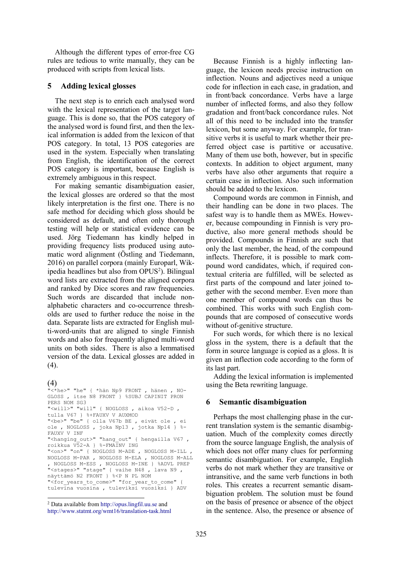Although the different types of error-free CG rules are tedious to write manually, they can be produced with scripts from lexical lists.

## 5 Adding lexical glosses

The next step is to enrich each analysed word with the lexical representation of the target language. This is done so, that the POS category of the analysed word is found first, and then the lexical information is added from the lexicon of that POS category. In total, 13 POS categories are used in the system. Especially when translating from English, the identification of the correct POS category is important, because English is extremely ambiguous in this respect.

For making semantic disambiguation easier, the lexical glosses are ordered so that the most likely interpretation is the first one. There is no safe method for deciding which gloss should be considered as default, and often only thorough testing will help or statistical evidence can be used. Jörg Tiedemann has kindly helped in providing frequency lists produced using automatic word alignment (Östling and Tiedemann, 2016) on parallel corpora (mainly Europarl, Wikipedia headlines but also from OPUS<sup>2</sup>). Bilingual word lists are extracted from the aligned corpora and ranked by Dice scores and raw frequencies. Such words are discarded that include nonalphabetic characters and co-occurrence thresholds are used to further reduce the noise in the data. Separate lists are extracted for English multi-word-units that are aligned to single Finnish words and also for frequently aligned multi-word units on both sides. There is also a lemmatised version of the data. Lexical glosses are added in  $(4)$ .

# (4)

```
"<*he>" "he" { *hän Np9 FRONT , hänen , NO-
GLOSS , itse N8 FRONT } %SUBJ CAPINIT PRON 
PERS NOM SG3 
"<will>" "will" { NOGLOSS , aikoa V52-D , 
tulla V67 } %+FAUXV V AUXMOD 
"<be>" "be" { olla V67b BE , eivät ole , ei 
ole , NOGLOSS , joka Np13 , jotka Np14 } %-
FAUXV V INF 
"<hanging out>" "hang out" { hengailla V67 ,
roikkua V52-A } %-FMAINV ING 
"<on>" "on" { NOGLOSS M-ADE , NOGLOSS M-ILL , 
NOGLOSS M-PAR , NOGLOSS M-ELA , NOGLOSS M-ALL 
, NOGLOSS M-ESS , NOGLOSS M-INE } %ADVL PREP 
"<stages>" "stage" { vaihe N48 , lava N9 , 
näyttämö N2 FRONT } %<P N PL NOM 
"<for years to come>" "for year to come" {
tulevina vuosina , tuleviksi vuosiksi } ADV
```
Because Finnish is a highly inflecting language, the lexicon needs precise instruction on inflection. Nouns and adjectives need a unique code for inflection in each case, in gradation, and in front/back concordance. Verbs have a large number of inflected forms, and also they follow gradation and front/back concordance rules. Not all of this need to be included into the transfer lexicon, but some anyway. For example, for transitive verbs it is useful to mark whether their preferred object case is partitive or accusative. Many of them use both, however, but in specific contexts. In addition to object argument, many verbs have also other arguments that require a certain case in inflection. Also such information should be added to the lexicon.

Compound words are common in Finnish, and their handling can be done in two places. The safest way is to handle them as MWEs. However, because compounding in Finnish is very productive, also more general methods should be provided. Compounds in Finnish are such that only the last member, the head, of the compound inflects. Therefore, it is possible to mark compound word candidates, which, if required contextual criteria are fulfilled, will be selected as first parts of the compound and later joined together with the second member. Even more than one member of compound words can thus be combined. This works with such English compounds that are composed of consecutive words without of-genitive structure.

For such words, for which there is no lexical gloss in the system, there is a default that the form in source language is copied as a gloss. It is given an inflection code according to the form of its last part.

Adding the lexical information is implemented using the Beta rewriting language.

#### 6 Semantic disambiguation

Perhaps the most challenging phase in the current translation system is the semantic disambiguation. Much of the complexity comes directly from the source language English, the analysis of which does not offer many clues for performing semantic disambiguation. For example, English verbs do not mark whether they are transitive or intransitive, and the same verb functions in both roles. This creates a recurrent semantic disambiguation problem. The solution must be found on the basis of presence or absence of the object in the sentence. Also, the presence or absence of

<sup>-</sup>2 Data available from http://opus.lingfil.uu.se and http://www.statmt.org/wmt16/translation-task.html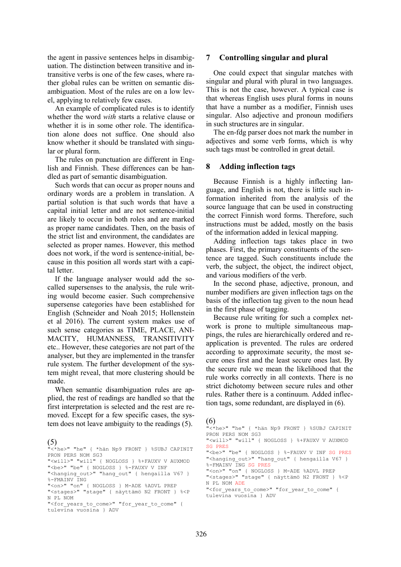the agent in passive sentences helps in disambiguation. The distinction between transitive and intransitive verbs is one of the few cases, where rather global rules can be written on semantic disambiguation. Most of the rules are on a low level, applying to relatively few cases.

An example of complicated rules is to identify whether the word *with* starts a relative clause or whether it is in some other role. The identification alone does not suffice. One should also know whether it should be translated with singular or plural form.

The rules on punctuation are different in English and Finnish. These differences can be handled as part of semantic disambiguation.

Such words that can occur as proper nouns and ordinary words are a problem in translation. A partial solution is that such words that have a capital initial letter and are not sentence-initial are likely to occur in both roles and are marked as proper name candidates. Then, on the basis of the strict list and environment, the candidates are selected as proper names. However, this method does not work, if the word is sentence-initial, because in this position all words start with a capital letter.

If the language analyser would add the socalled supersenses to the analysis, the rule writing would become easier. Such comprehensive supersense categories have been established for English (Schneider and Noah 2015; Hollenstein et al 2016). The current system makes use of such sense categories as TIME, PLACE, ANI-MACITY, HUMANNESS, TRANSITIVITY etc.. However, these categories are not part of the analyser, but they are implemented in the transfer rule system. The further development of the system might reveal, that more clustering should be made.

When semantic disambiguation rules are applied, the rest of readings are handled so that the first interpretation is selected and the rest are removed. Except for a few specific cases, the system does not leave ambiguity to the readings (5).

#### (5) "<\*he>" "he" { \*hän Np9 FRONT } %SUBJ CAPINIT PRON PERS NOM SG3 "<will>" "will" { NOGLOSS } %+FAUXV V AUXMOD "<be>" "be" { NOGLOSS } %-FAUXV V INF "<hanging\_out>" "hang\_out" { hengailla V67 }  $$-FMATNV$  TNG "<on>" "on" { NOGLOSS } M-ADE %ADVL PREP "<stages>" "stage" { näyttämö N2 FRONT } %<P N PL NOM "<for years to come>" "for year to come" {

tulevina vuosina } ADV

### 7 Controlling singular and plural

One could expect that singular matches with singular and plural with plural in two languages. This is not the case, however. A typical case is that whereas English uses plural forms in nouns that have a number as a modifier, Finnish uses singular. Also adjective and pronoun modifiers in such structures are in singular.

The en-fdg parser does not mark the number in adjectives and some verb forms, which is why such tags must be controlled in great detail.

### 8 Adding inflection tags

Because Finnish is a highly inflecting language, and English is not, there is little such information inherited from the analysis of the source language that can be used in constructing the correct Finnish word forms. Therefore, such instructions must be added, mostly on the basis of the information added in lexical mapping.

Adding inflection tags takes place in two phases. First, the primary constituents of the sentence are tagged. Such constituents include the verb, the subject, the object, the indirect object, and various modifiers of the verb.

In the second phase, adjective, pronoun, and number modifiers are given inflection tags on the basis of the inflection tag given to the noun head in the first phase of tagging.

Because rule writing for such a complex network is prone to multiple simultaneous mappings, the rules are hierarchically ordered and reapplication is prevented. The rules are ordered according to approximate security, the most secure ones first and the least secure ones last. By the secure rule we mean the likelihood that the rule works correctly in all contexts. There is no strict dichotomy between secure rules and other rules. Rather there is a continuum. Added inflection tags, some redundant, are displayed in (6).

#### (6)

"<\*he>" "he" { \*hän Np9 FRONT } %SUBJ CAPINIT PRON PERS NOM SG3 "<will>" "will" { NOGLOSS } %+FAUXV V AUXMOD SG PRES "<be>" "be" { NOGLOSS } %-FAUXV V INF SG PRES "<hanging out>" "hang out" { hengailla V67 } %-FMAINV ING SG PRES "<on>" "on" { NOGLOSS } M-ADE %ADVL PREP "<stages>" "stage" { näyttämö N2 FRONT } %<P N PL NOM ADE "<for years to come>" "for year to come" {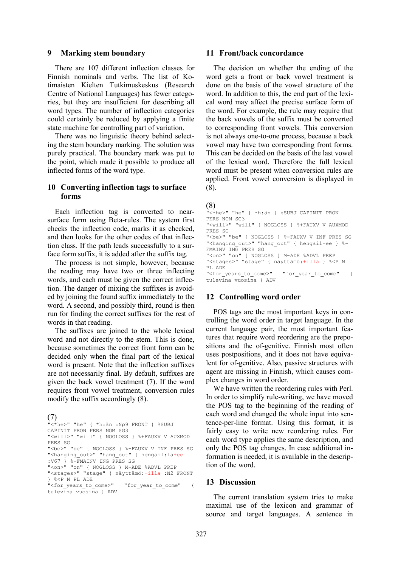#### 9 Marking stem boundary

There are 107 different inflection classes for Finnish nominals and verbs. The list of Kotimaisten Kielten Tutkimuskeskus (Research Centre of National Languages) has fewer categories, but they are insufficient for describing all word types. The number of inflection categories could certainly be reduced by applying a finite state machine for controlling part of variation.

There was no linguistic theory behind selecting the stem boundary marking. The solution was purely practical. The boundary mark was put to the point, which made it possible to produce all inflected forms of the word type.

# 10 Converting inflection tags to surface forms

Each inflection tag is converted to nearsurface form using Beta-rules. The system first checks the inflection code, marks it as checked, and then looks for the other codes of that inflection class. If the path leads successfully to a surface form suffix, it is added after the suffix tag.

The process is not simple, however, because the reading may have two or three inflecting words, and each must be given the correct inflection. The danger of mixing the suffixes is avoided by joining the found suffix immediately to the word. A second, and possibly third, round is then run for finding the correct suffixes for the rest of words in that reading.

The suffixes are joined to the whole lexical word and not directly to the stem. This is done, because sometimes the correct front form can be decided only when the final part of the lexical word is present. Note that the inflection suffixes are not necessarily final. By default, suffixes are given the back vowel treatment (7). If the word requires front vowel treatment, conversion rules modify the suffix accordingly (8).

```
(7) 
"<*he>" "he" { *h:än :Np9 FRONT } %SUBJ 
CAPINIT PRON PERS NOM SG3 
"<will>" "will" { NOGLOSS } %+FAUXV V AUXMOD 
PRES SG 
"<be>" "be" { NOGLOSS } %-FAUXV V INF PRES SG 
"<hanging_out>" "hang_out" { hengail:la+ee
:V67 } %-FMAINV ING PRES SG 
"<on>" "on" { NOGLOSS } M-ADE %ADVL PREP 
"<stages>" "stage" { näyttämö:+illa :N2 FRONT 
} %<P N PL ADE 
"<for years to come>" "for year to come" {
tulevina vuosina } ADV
```
## 11 Front/back concordance

The decision on whether the ending of the word gets a front or back vowel treatment is done on the basis of the vowel structure of the word. In addition to this, the end part of the lexical word may affect the precise surface form of the word. For example, the rule may require that the back vowels of the suffix must be converted to corresponding front vowels. This conversion is not always one-to-one process, because a back vowel may have two corresponding front forms. This can be decided on the basis of the last vowel of the lexical word. Therefore the full lexical word must be present when conversion rules are applied. Front vowel conversion is displayed in (8).

### (8)

```
"<*he>" "he" { *h:än } %SUBJ CAPINIT PRON 
PERS NOM SG3 
"<will>" "will" { NOGLOSS } %+FAUXV V AUXMOD 
PRES SG 
"<be>" "be" { NOGLOSS } %-FAUXV V INF PRES SG
"<hanging out>" "hang_out" { hengail+ee } %-
FMAINV ING PRES SG 
"<on>" "on" { NOGLOSS } M-ADE %ADVL PREP 
"<stages>" "stage" { näyttämö:+illä } %<P N 
PL ADE 
"<for years to come>" "for year to come" {
tulevina vuosina } ADV
```
## 12 Controlling word order

POS tags are the most important keys in controlling the word order in target language. In the current language pair, the most important features that require word reordering are the prepositions and the of-genitive. Finnish most often uses postpositions, and it does not have equivalent for of-genitive. Also, passive structures with agent are missing in Finnish, which causes complex changes in word order.

We have written the reordering rules with Perl. In order to simplify rule-writing, we have moved the POS tag to the beginning of the reading of each word and changed the whole input into sentence-per-line format. Using this format, it is fairly easy to write new reordering rules. For each word type applies the same description, and only the POS tag changes. In case additional information is needed, it is available in the description of the word.

# 13 Discussion

The current translation system tries to make maximal use of the lexicon and grammar of source and target languages. A sentence in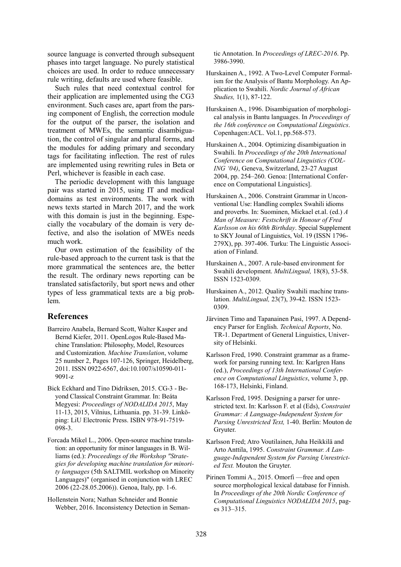source language is converted through subsequent phases into target language. No purely statistical choices are used. In order to reduce unnecessary rule writing, defaults are used where feasible.

Such rules that need contextual control for their application are implemented using the CG3 environment. Such cases are, apart from the parsing component of English, the correction module for the output of the parser, the isolation and treatment of MWEs, the semantic disambiguation, the control of singular and plural forms, and the modules for adding primary and secondary tags for facilitating inflection. The rest of rules are implemented using rewriting rules in Beta or Perl, whichever is feasible in each case.

The periodic development with this language pair was started in 2015, using IT and medical domains as test environments. The work with news texts started in March 2017, and the work with this domain is just in the beginning. Especially the vocabulary of the domain is very defective, and also the isolation of MWEs needs much work.

Our own estimation of the feasibility of the rule-based approach to the current task is that the more grammatical the sentences are, the better the result. The ordinary news reporting can be translated satisfactorily, but sport news and other types of less grammatical texts are a big problem.

# References

- Barreiro Anabela, Bernard Scott, Walter Kasper and Bernd Kiefer, 2011. OpenLogos Rule-Based Machine Translation: Philosophy, Model, Resources and Customization. Machine Translation, volume 25 number 2, Pages 107-126, Springer, Heidelberg, 2011. ISSN 0922-6567, doi:10.1007/s10590-011- 9091-z
- Bick Eckhard and Tino Didriksen, 2015. CG-3 Beyond Classical Constraint Grammar. In: Beáta Megyesi: Proceedings of NODALIDA 2015, May 11-13, 2015, Vilnius, Lithuania. pp. 31-39. Linköping: LiU Electronic Press. ISBN 978-91-7519- 098-3.
- Forcada Mikel L., 2006. Open-source machine translation: an opportunity for minor languages in B. Williams (ed.): Proceedings of the Workshop "Strategies for developing machine translation for minority languages (5th SALTMIL workshop on Minority Languages)" (organised in conjunction with LREC 2006 (22-28.05.2006)). Genoa, Italy, pp. 1-6.

Hollenstein Nora; Nathan Schneider and Bonnie Webber, 2016. Inconsistency Detection in Semantic Annotation. In Proceedings of LREC-2016. Pp. 3986-3990.

- Hurskainen A., 1992. A Two-Level Computer Formalism for the Analysis of Bantu Morphology. An Application to Swahili. Nordic Journal of African Studies, 1(1), 87-122.
- Hurskainen A., 1996. Disambiguation of morphological analysis in Bantu languages. In Proceedings of the 16th conference on Computational Linguistics. Copenhagen:ACL. Vol.1, pp.568-573.
- Hurskainen A., 2004. Optimizing disambiguation in Swahili. In Proceedings of the 20th International Conference on Computational Linguistics (COL-ING '04), Geneva, Switzerland, 23-27 August 2004, pp. 254–260. Genoa: [International Conference on Computational Linguistics].
- Hurskainen A., 2006. Constraint Grammar in Unconventional Use: Handling complex Swahili idioms and proverbs. In: Suominen, Mickael et.al. (ed.) A Man of Measure: Festschrift in Honour of Fred Karlsson on his 60th Birthday. Special Supplement to SKY Jounal of Linguistics, Vol. 19 (ISSN 1796- 279X), pp. 397-406. Turku: The Linguistic Association of Finland.
- Hurskainen A., 2007. A rule-based environment for Swahili development. MultiLingual, 18(8), 53-58. ISSN 1523-0309.
- Hurskainen A., 2012. Quality Swahili machine translation. MultiLingual, 23(7), 39-42. ISSN 1523- 0309.
- Järvinen Timo and Tapanainen Pasi, 1997. A Dependency Parser for English. Technical Reports, No. TR-1. Department of General Linguistics, University of Helsinki.
- Karlsson Fred, 1990. Constraint grammar as a framework for parsing running text. In: Karlgren Hans (ed.), Proceedings of 13th International Conference on Computational Linguistics, volume 3, pp. 168-173, Helsinki, Finland.
- Karlsson Fred, 1995. Designing a parser for unrestricted text. In: Karlsson F. et al (Eds), Constraint Grammar: A Language-Independent System for Parsing Unrestricted Text, 1-40. Berlin: Mouton de Gryuter.
- Karlsson Fred; Atro Voutilainen, Juha Heikkilä and Arto Anttila, 1995. Constraint Grammar. A Language-Independent System for Parsing Unrestricted Text. Mouton the Gruyter.
- Pirinen Tommi A., 2015. Omorfi —free and open source morphological lexical database for Finnish. In Proceedings of the 20th Nordic Conference of Computational Linguistics NODALIDA 2015, pages 313–315.